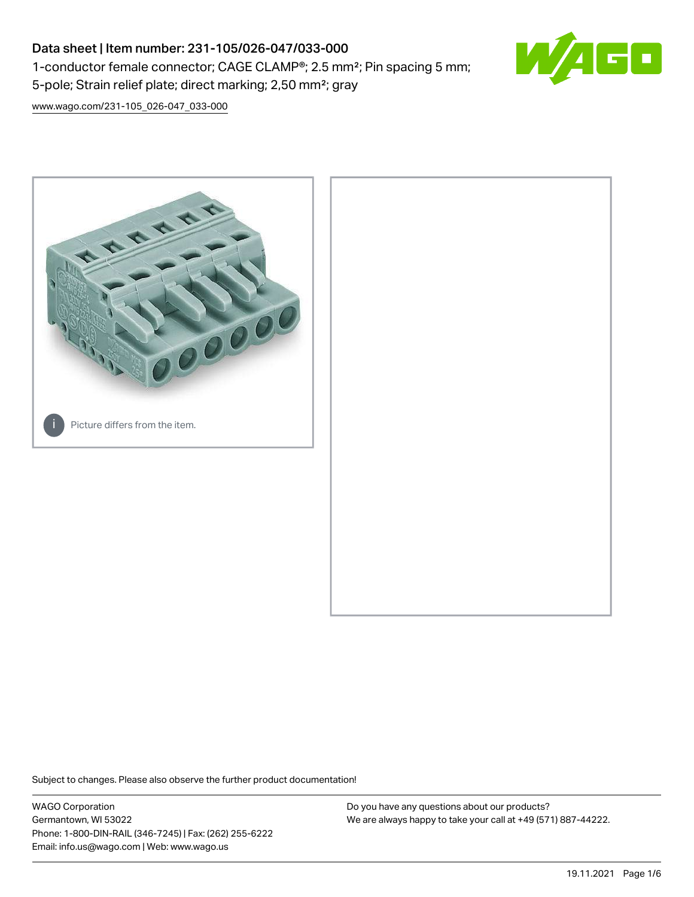## Data sheet | Item number: 231-105/026-047/033-000 1-conductor female connector; CAGE CLAMP®; 2.5 mm²; Pin spacing 5 mm; 5-pole; Strain relief plate; direct marking; 2,50 mm²; gray



[www.wago.com/231-105\\_026-047\\_033-000](http://www.wago.com/231-105_026-047_033-000)



Subject to changes. Please also observe the further product documentation!

WAGO Corporation Germantown, WI 53022 Phone: 1-800-DIN-RAIL (346-7245) | Fax: (262) 255-6222 Email: info.us@wago.com | Web: www.wago.us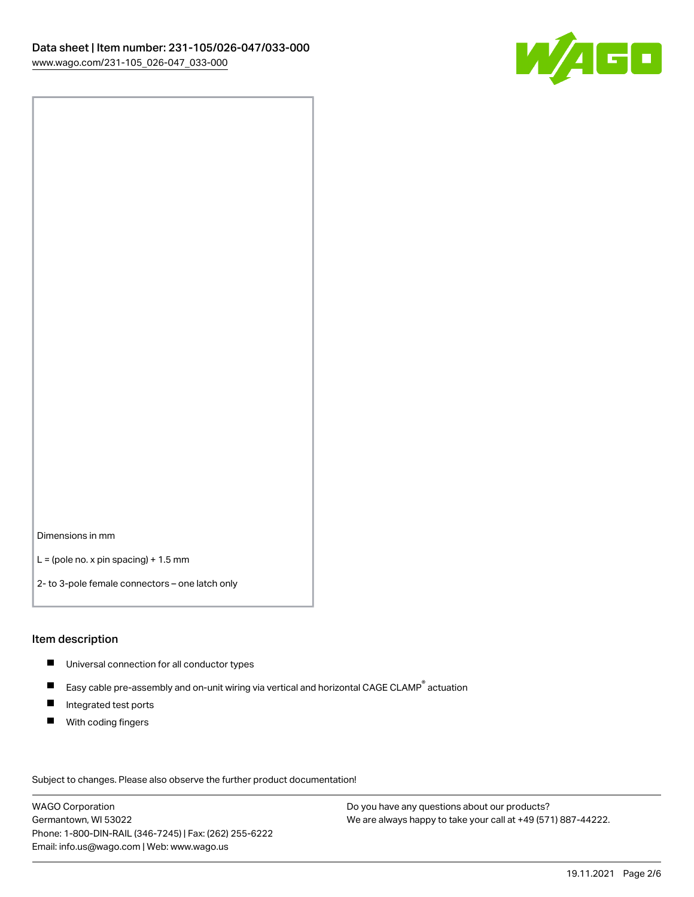

Dimensions in mm

 $L =$  (pole no. x pin spacing) + 1.5 mm

2- to 3-pole female connectors – one latch only

#### Item description

- **Universal connection for all conductor types**
- Easy cable pre-assembly and on-unit wiring via vertical and horizontal CAGE CLAMP<sup>®</sup> actuation  $\blacksquare$
- $\blacksquare$ Integrated test ports
- $\blacksquare$ With coding fingers

Subject to changes. Please also observe the further product documentation! Data

WAGO Corporation Germantown, WI 53022 Phone: 1-800-DIN-RAIL (346-7245) | Fax: (262) 255-6222 Email: info.us@wago.com | Web: www.wago.us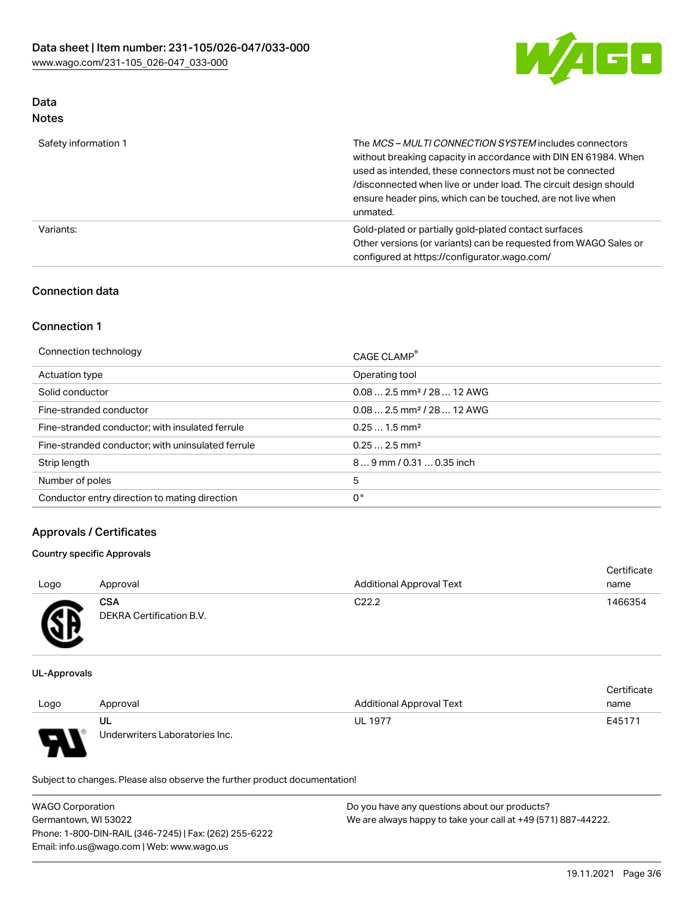

# Data

| Safety information 1 | The <i>MCS – MULTI CONNECTION SYSTEM</i> includes connectors<br>without breaking capacity in accordance with DIN EN 61984. When<br>used as intended, these connectors must not be connected<br>/disconnected when live or under load. The circuit design should<br>ensure header pins, which can be touched, are not live when<br>unmated. |
|----------------------|--------------------------------------------------------------------------------------------------------------------------------------------------------------------------------------------------------------------------------------------------------------------------------------------------------------------------------------------|
| Variants:            | Gold-plated or partially gold-plated contact surfaces<br>Other versions (or variants) can be requested from WAGO Sales or<br>configured at https://configurator.wago.com/                                                                                                                                                                  |

## Connection data

## Connection 1

| Connection technology                             | CAGE CLAMP <sup>®</sup>                |
|---------------------------------------------------|----------------------------------------|
| Actuation type                                    | Operating tool                         |
| Solid conductor                                   | $0.082.5$ mm <sup>2</sup> / 28  12 AWG |
| Fine-stranded conductor                           | $0.082.5$ mm <sup>2</sup> / 28  12 AWG |
| Fine-stranded conductor; with insulated ferrule   | $0.251.5$ mm <sup>2</sup>              |
| Fine-stranded conductor; with uninsulated ferrule | $0.252.5$ mm <sup>2</sup>              |
| Strip length                                      | $89$ mm / 0.31  0.35 inch              |
| Number of poles                                   | 5                                      |
| Conductor entry direction to mating direction     | 0°                                     |

## Approvals / Certificates

#### Country specific Approvals

| Logo                       | Approval                               | <b>Additional Approval Text</b> | Certificate<br>name |
|----------------------------|----------------------------------------|---------------------------------|---------------------|
| Œ<br>$\tilde{\phantom{a}}$ | <b>CSA</b><br>DEKRA Certification B.V. | C <sub>22.2</sub>               | 1466354             |
|                            |                                        |                                 |                     |

UL-Approvals

7 A -

| Logo | Approval                             | <b>Additional Approval Text</b> | Certificate<br>name |
|------|--------------------------------------|---------------------------------|---------------------|
| J    | UL<br>Underwriters Laboratories Inc. | <b>UL 1977</b>                  | E45171              |

Subject to changes. Please also observe the further product documentation!

| <b>WAGO Corporation</b>                                | Do you have any questions about our products?                 |
|--------------------------------------------------------|---------------------------------------------------------------|
| Germantown, WI 53022                                   | We are always happy to take your call at +49 (571) 887-44222. |
| Phone: 1-800-DIN-RAIL (346-7245)   Fax: (262) 255-6222 |                                                               |
| Email: info.us@wago.com   Web: www.wago.us             |                                                               |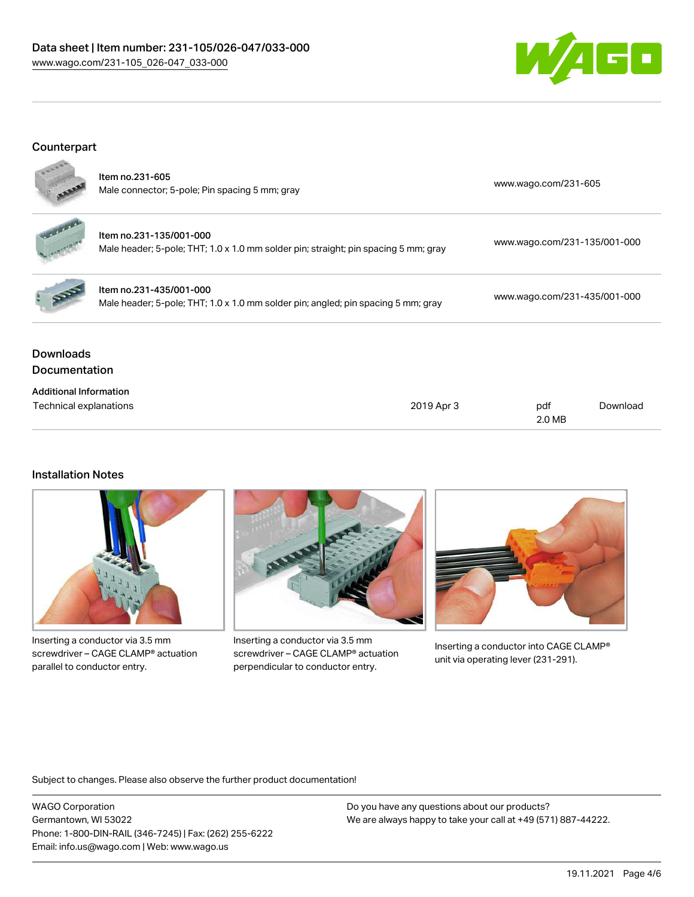## Data sheet | Item number: 231-105/026-047/033-000 [www.wago.com/231-105\\_026-047\\_033-000](http://www.wago.com/231-105_026-047_033-000)



## Counterpart



| <b>Downloads</b><br><b>Documentation</b> |                                                                                                                |                              |
|------------------------------------------|----------------------------------------------------------------------------------------------------------------|------------------------------|
|                                          | Item no.231-435/001-000<br>Male header; 5-pole; THT; 1.0 x 1.0 mm solder pin; angled; pin spacing 5 mm; gray   | www.wago.com/231-435/001-000 |
|                                          | Item no.231-135/001-000<br>Male header; 5-pole; THT; 1.0 x 1.0 mm solder pin; straight; pin spacing 5 mm; gray | www.wago.com/231-135/001-000 |
|                                          | Item no.231-605<br>Male connector; 5-pole; Pin spacing 5 mm; gray                                              | www.wago.com/231-605         |

| <b>Additional Information</b> |            |        |          |
|-------------------------------|------------|--------|----------|
| Technical explanations        | 2019 Apr 3 | pdf    | Download |
|                               |            | 2.0 MB |          |

#### Installation Notes



Inserting a conductor via 3.5 mm screwdriver – CAGE CLAMP® actuation parallel to conductor entry.



Inserting a conductor via 3.5 mm screwdriver – CAGE CLAMP® actuation perpendicular to conductor entry.



Inserting a conductor into CAGE CLAMP® unit via operating lever (231-291).

Subject to changes. Please also observe the further product documentation!

WAGO Corporation Germantown, WI 53022 Phone: 1-800-DIN-RAIL (346-7245) | Fax: (262) 255-6222 Email: info.us@wago.com | Web: www.wago.us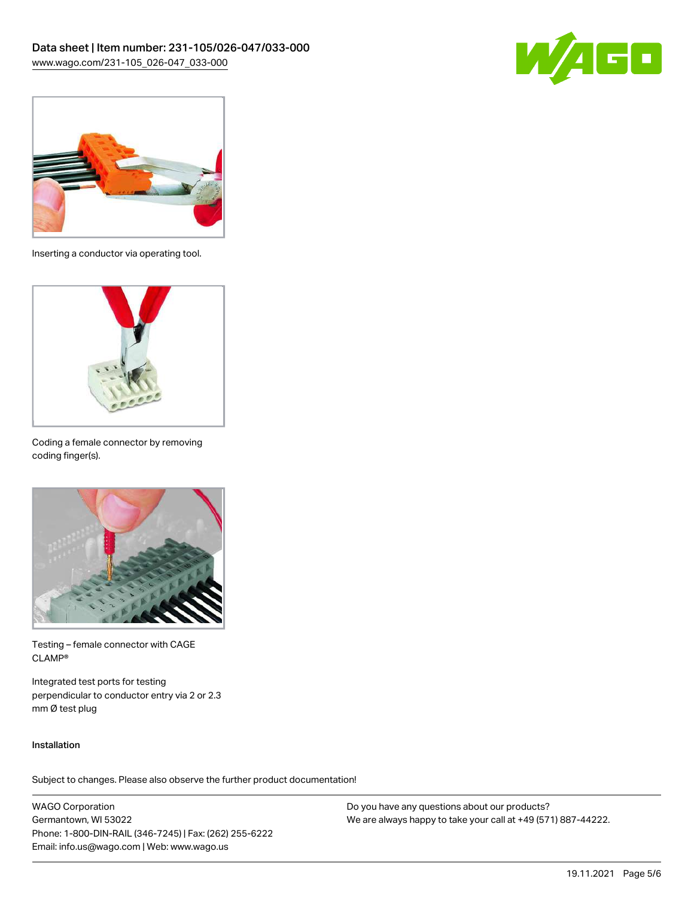



Inserting a conductor via operating tool.



Coding a female connector by removing coding finger(s).



Testing – female connector with CAGE CLAMP®

Integrated test ports for testing perpendicular to conductor entry via 2 or 2.3 mm Ø test plug

#### Installation

Subject to changes. Please also observe the further product documentation!

WAGO Corporation Germantown, WI 53022 Phone: 1-800-DIN-RAIL (346-7245) | Fax: (262) 255-6222 Email: info.us@wago.com | Web: www.wago.us